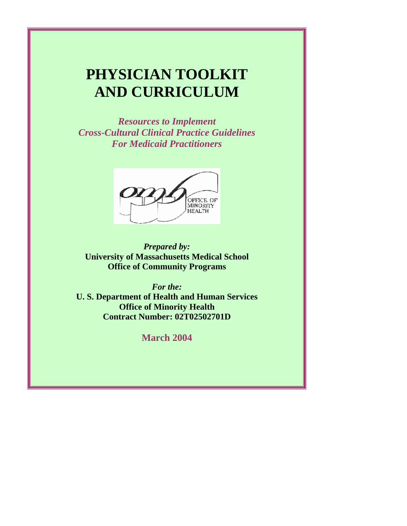# **PHYSICIAN TOOLKIT AND CURRICULUM**

 *Cross-Cultural Clinical Practice Guidelines Resources to Implement* 



**University of Massachusetts Medical School Office of Community Programs** 

*For the:* 

**U. S. Department of Health and Human Services Office of Minority Health Contract Number: 02T02502701D** 

**March 2004**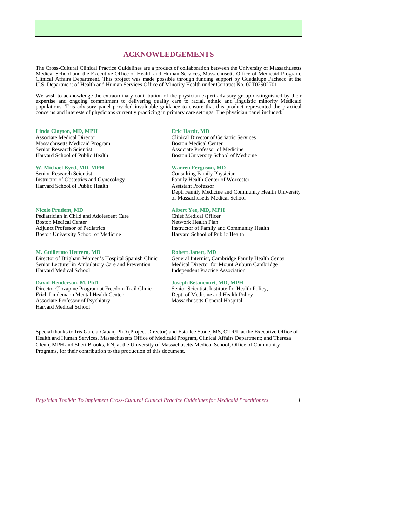# **ACKNOWLEDGEMENTS**

 The Cross-Cultural Clinical Practice Guidelines are a product of collaboration between the University of Massachusetts Medical School and the Executive Office of Health and Human Services, Massachusetts Office of Medicaid Program, Clinical Affairs Department. This project was made possible through funding support by Guadalupe Pacheco at the U.S. Department of Health and Human Services Office of Minority Health under Contract No. 02T02502701.

 We wish to acknowledge the extraordinary contribution of the physician expert advisory group distinguished by their concerns and interests of physicians currently practicing in primary care settings. The physician panel included: expertise and ongoing commitment to delivering quality care to racial, ethnic and linguistic minority Medicaid populations. This advisory panel provided invaluable guidance to ensure that this product represented the practical

#### **Linda Clayton, MD, MPH**

 Associate Medical Director Massachusetts Medicaid Program Senior Research Scientist Harvard School of Public Health

#### **W. Michael Byrd, MD, MPH**

Senior Research Scientist Instructor of Obstetrics and Gynecology Harvard School of Public Health

#### **Nicole Prudent, MD**

 Boston Medical Center **Adjunct Professor of Pediatrics**  Adjunct Professor of Pediatrics Boston University School of Medicine Pediatrician in Child and Adolescent Care

#### **M. Guillermo Herrera, MD**

 Harvard Medical School Director of Brigham Women's Hospital Spanish Clinic Senior Lecturer in Ambulatory Care and Prevention

#### **David Henderson, M, PhD.**

 Director Clozapine Program at Freedom Trail Clinic Erich Lindemann Mental Health Center Associate Professor of Psychiatry Harvard Medical School Linda Clayton, MD, MPH (Eric Hart (MD)<br>
Linda Clayton (MD), MPH (Eric Hard, MD)<br>
Michael Byrd, MD, MPH (Boston Chindelel Center Content School of Public Health<br>
Harvard School of Public Health<br>
Instructor of Obstetries and

#### **Eric Hardt**, MD

Associate Professor of Medicine Boston Medical Center Boston University School of Medicine

#### **Warren Ferguson, MD**

**Consulting Family Physician Assistant Professor** Family Health Center of Worcester Dept. Family Medicine and Community Health University of Massachusetts Medical School

#### **Albert Yee, MD, MPH**

 Chief Medical Officer Network Health Plan Instructor of Family and Community Health Harvard School of Public Health

#### **Robert Janett, MD**

 General Internist, Cambridge Family Health Center Independent Practice Association Medical Director for Mount Auburn Cambridge

#### **Joseph Betancourt, MD, MPH**

 Senior Scientist, Institute for Health Policy, Dept. of Medicine and Health Policy Massachusetts General Hospital

Special thanks to Iris Garcia-Caban, PhD (Project Director) and Esta-lee Stone, MS, OTR/L at the Executive Office of Health and Human Services, Massachusetts Office of Medicaid Program, Clinical Affairs Department; and Theresa Glenn, MPH and Sheri Brooks, RN, at the University of Massachusetts Medical School, Office of Community Programs, for their contribution to the production of this document.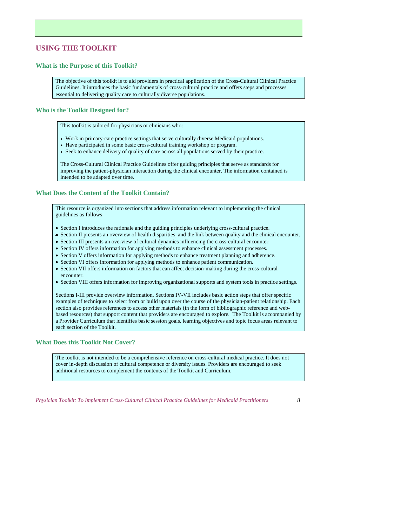# **USING THE TOOLKIT**

# **What is the Purpose of this Toolkit?**

 The objective of this toolkit is to aid providers in practical application of the Cross-Cultural Clinical Practice essential to delivering quality care to culturally diverse populations. Guidelines. It introduces the basic fundamentals of cross-cultural practice and offers steps and processes

## **Who is the Toolkit Designed for?**

This toolkit is tailored for physicians or clinicians who:

- Work in primary-care practice settings that serve culturally diverse Medicaid populations.
- Have participated in some basic cross-cultural training workshop or program.
- Seek to enhance delivery of quality of care across all populations served by their practice.

 The Cross-Cultural Clinical Practice Guidelines offer guiding principles that serve as standards for improving the patient-physician interaction during the clinical encounter. The information contained is intended to be adapted over time.

# **What Does the Content of the Toolkit Contain?**

 This resource is organized into sections that address information relevant to implementing the clinical guidelines as follows:

- Section I introduces the rationale and the guiding principles underlying cross-cultural practice.
- Section II presents an overview of health disparities, and the link between quality and the clinical encounter.
- Section III presents an overview of cultural dynamics influencing the cross-cultural encounter.
- Section IV offers information for applying methods to enhance clinical assessment processes.
- Section V offers information for applying methods to enhance treatment planning and adherence.
- Section VI offers information for applying methods to enhance patient communication.
- • Section VII offers information on factors that can affect decision-making during the cross-cultural encounter.
- Section VIII offers information for improving organizational supports and system tools in practice settings.

 Sections I-III provide overview information, Sections IV-VII includes basic action steps that offer specific based resources) that support content that providers are encouraged to explore. The Toolkit is accompanied by each section of the Toolkit. examples of techniques to select from or build upon over the course of the physician-patient relationship. Each section also provides references to access other materials (in the form of bibliographic reference and weba Provider Curriculum that identifies basic session goals, learning objectives and topic focus areas relevant to

#### **What Does this Toolkit Not Cover?**

 additional resources to complement the contents of the Toolkit and Curriculum. The toolkit is not intended to be a comprehensive reference on cross-cultural medical practice. It does not cover in-depth discussion of cultural competence or diversity issues. Providers are encouraged to seek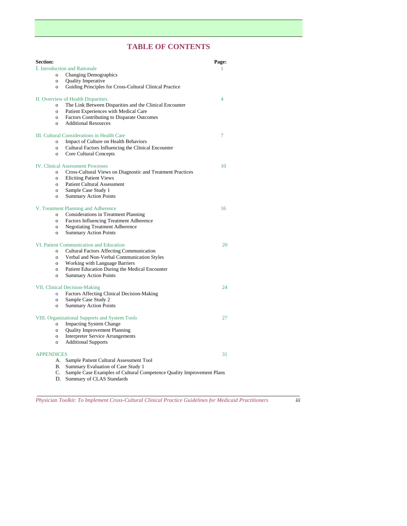# **TABLE OF CONTENTS**

| <b>Section:</b>                             |                                                                                 | Page: |  |
|---------------------------------------------|---------------------------------------------------------------------------------|-------|--|
| I. Introduction and Rationale               |                                                                                 | 1     |  |
| $\sigma$                                    | <b>Changing Demographics</b>                                                    |       |  |
| $\mathbf{o}$                                | <b>Quality Imperative</b>                                                       |       |  |
| $\mathbf{o}$                                | Guiding Principles for Cross-Cultural Clinical Practice                         |       |  |
|                                             |                                                                                 |       |  |
| II. Overview of Health Disparities<br>4     |                                                                                 |       |  |
| $\mathbf{o}$                                | The Link Between Disparities and the Clinical Encounter                         |       |  |
| $\overline{O}$                              | Patient Experiences with Medical Care                                           |       |  |
| $\mathbf{o}$                                | Factors Contributing to Disparate Outcomes                                      |       |  |
| $\sigma$                                    | <b>Additional Resources</b>                                                     |       |  |
| III. Cultural Considerations in Health Care |                                                                                 | 7     |  |
| $\sigma$                                    | Impact of Culture on Health Behaviors                                           |       |  |
| $\overline{O}$                              | Cultural Factors Influencing the Clinical Encounter                             |       |  |
| $\mathbf{o}$                                | Core Cultural Concepts                                                          |       |  |
|                                             |                                                                                 |       |  |
|                                             | <b>IV.</b> Clinical Assessment Processes                                        | 10    |  |
| $\overline{O}$                              | Cross-Cultural Views on Diagnostic and Treatment Practices                      |       |  |
| $\sigma$                                    | <b>Eliciting Patient Views</b>                                                  |       |  |
| $\mathbf{o}$                                | <b>Patient Cultural Assessment</b>                                              |       |  |
| $\mathbf{o}$                                | Sample Case Study 1                                                             |       |  |
| $\overline{O}$                              | <b>Summary Action Points</b>                                                    |       |  |
|                                             |                                                                                 |       |  |
|                                             | V. Treatment Planning and Adherence                                             | 16    |  |
| $\Omega$                                    | Considerations in Treatment Planning<br>Factors Influencing Treatment Adherence |       |  |
| 0<br>0                                      | <b>Negotiating Treatment Adherence</b>                                          |       |  |
| $\overline{O}$                              | <b>Summary Action Points</b>                                                    |       |  |
|                                             |                                                                                 |       |  |
| VI. Patient Communication and Education     |                                                                                 | 20    |  |
| $\sigma$                                    | Cultural Factors Affecting Communication                                        |       |  |
| $\overline{O}$                              | Verbal and Non-Verbal Communication Styles                                      |       |  |
| $\sigma$                                    | Working with Language Barriers                                                  |       |  |
| $\overline{O}$                              | Patient Education During the Medical Encounter                                  |       |  |
| $\mathbf{o}$                                | <b>Summary Action Points</b>                                                    |       |  |
| 24<br><b>VII. Clinical Decision-Making</b>  |                                                                                 |       |  |
|                                             | Factors Affecting Clinical Decision-Making                                      |       |  |
| $\overline{0}$                              | Sample Case Study 2                                                             |       |  |
| $\mathbf{o}$<br>$\sigma$                    | <b>Summary Action Points</b>                                                    |       |  |
|                                             |                                                                                 |       |  |
|                                             | VIII. Organizational Supports and System Tools                                  | 27    |  |
| $\overline{O}$                              | <b>Impacting System Change</b>                                                  |       |  |
| $\mathbf{o}$                                | <b>Quality Improvement Planning</b>                                             |       |  |
| $\mathbf{o}$                                | <b>Interpreter Service Arrangements</b>                                         |       |  |
| $\mathbf{O}$                                | <b>Additional Supports</b>                                                      |       |  |
|                                             |                                                                                 |       |  |
| <b>APPENDICES</b>                           |                                                                                 | 31    |  |
|                                             | A. Sample Patient Cultural Assessment Tool                                      |       |  |
| В.                                          | Summary Evaluation of Case Study 1                                              |       |  |
| C.                                          | Sample Case Examples of Cultural Competence Quality Improvement Plans           |       |  |
|                                             | D. Summary of CLAS Standards                                                    |       |  |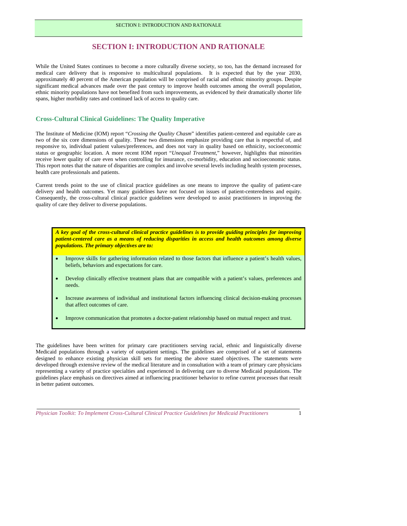# **SECTION I: INTRODUCTION AND RATIONALE**

 While the United States continues to become a more culturally diverse society, so too, has the demand increased for spans, higher morbidity rates and continued lack of access to quality care. medical care delivery that is responsive to multicultural populations. It is expected that by the year 2030, approximately 40 percent of the American population will be comprised of racial and ethnic minority groups. Despite significant medical advances made over the past century to improve health outcomes among the overall population, ethnic minority populations have not benefited from such improvements, as evidenced by their dramatically shorter life

#### **Cross-Cultural Clinical Guidelines: The Quality Imperative**

 two of the six core dimensions of quality. These two dimensions emphasize providing care that is respectful of, and responsive to, individual patient values/preferences, and does not vary in quality based on ethnicity, socioeconomic receive lower quality of care even when controlling for insurance, co-morbidity, education and socioeconomic status. The Institute of Medicine (IOM) report "*Crossing the Quality Chasm*" identifies patient-centered and equitable care as status or geographic location. A more recent IOM report "*Unequal Treatment,*" however, highlights that minorities This report notes that the nature of disparities are complex and involve several levels including health system processes, health care professionals and patients.

 delivery and health outcomes. Yet many guidelines have not focused on issues of patient-centeredness and equity.  quality of care they deliver to diverse populations. Current trends point to the use of clinical practice guidelines as one means to improve the quality of patient-care Consequently, the cross-cultural clinical practice guidelines were developed to assist practitioners in improving the

 *A key goal of the cross-cultural clinical practice guidelines is to provide guiding principles for improving patient-centered care as a means of reducing disparities in access and health outcomes among diverse populations. The primary objectives are to:* 

- beliefs, behaviors and expectations for care. • Improve skills for gathering information related to those factors that influence a patient's health values,
- Develop clinically effective treatment plans that are compatible with a patient's values, preferences and needs.
- Increase awareness of individual and institutional factors influencing clinical decision-making processes that affect outcomes of care.
- Improve communication that promotes a doctor-patient relationship based on mutual respect and trust.

 The guidelines have been written for primary care practitioners serving racial, ethnic and linguistically diverse designed to enhance existing physician skill sets for meeting the above stated objectives. The statements were developed through extensive review of the medical literature and in consultation with a team of primary care physicians in better patient outcomes. Medicaid populations through a variety of outpatient settings. The guidelines are comprised of a set of statements representing a variety of practice specialties and experienced in delivering care to diverse Medicaid populations. The guidelines place emphasis on directives aimed at influencing practitioner behavior to refine current processes that result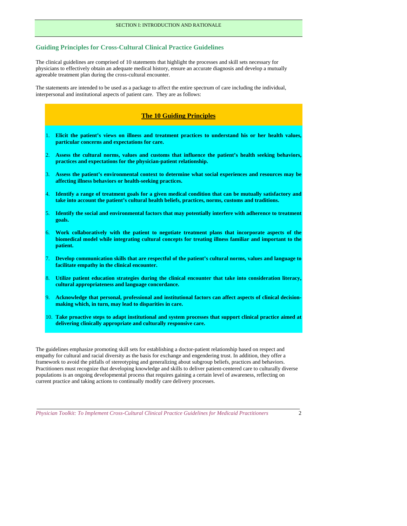# **Guiding Principles for Cross-Cultural Clinical Practice Guidelines**

agreeable treatment plan during the cross-cultural encounter. The clinical guidelines are comprised of 10 statements that highlight the processes and skill sets necessary for physicians to effectively obtain an adequate medical history, ensure an accurate diagnosis and develop a mutually

The statements are intended to be used as a package to affect the entire spectrum of care including the individual, interpersonal and institutional aspects of patient care. They are as follows:

# 1. **Elicit the patient's views on illness and treatment practices to understand his or her health values,**  4. **Identify a range of treatment goals for a given medical condition that can be mutually satisfactory and**  5. **Identify the social and environmental factors that may potentially interfere with adherence to treatment**  6. **Work collaboratively with the patient to negotiate treatment plans that incorporate aspects of the**  8. **Utilize patient education strategies during the clinical encounter that take into consideration literacy, The 10 Guiding Principles particular concerns and expectations for care.**  Assess the cultural norms, values and customs that influence the patient's health seeking behaviors, **practices and expectations for the physician-patient relationship.**  3. **Assess the patient's environmental context to determine what social experiences and resources may be affecting illness behaviors or health-seeking practices. take into account the patient's cultural health beliefs, practices, norms, customs and traditions. goals. biomedical model while integrating cultural concepts for treating illness familiar and important to the patient.**  7. **Develop communication skills that are respectful of the patient's cultural norms, values and language to facilitate empathy in the clinical encounter. cultural appropriateness and language concordance.**  9. **Acknowledge that personal, professional and institutional factors can affect aspects of clinical decisionmaking which, in turn, may lead to disparities in care.**

 **delivering clinically appropriate and culturally responsive care.** 10. **Take proactive steps to adapt institutional and system processes that support clinical practice aimed at** 

 The guidelines emphasize promoting skill sets for establishing a doctor-patient relationship based on respect and current practice and taking actions to continually modify care delivery processes. empathy for cultural and racial diversity as the basis for exchange and engendering trust. In addition, they offer a framework to avoid the pitfalls of stereotyping and generalizing about subgroup beliefs, practices and behaviors. Practitioners must recognize that developing knowledge and skills to deliver patient-centered care to culturally diverse populations is an ongoing developmental process that requires gaining a certain level of awareness, reflecting on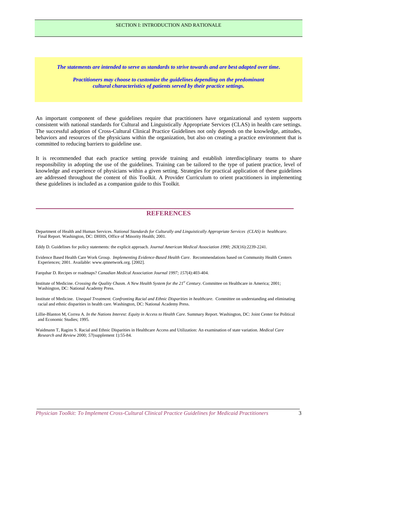*The statements are intended to serve as standards to strive towards and are best adapted over time.* 

 *Practitioners may choose to customize the guidelines depending on the predominant cultural characteristics of patients served by their practice settings.* 

 consistent with national standards for Cultural and Linguistically Appropriate Services (CLAS) in health care settings. behaviors and resources of the physicians within the organization, but also on creating a practice environment that is committed to reducing barriers to guideline use. An important component of these guidelines require that practitioners have organizational and system supports The successful adoption of Cross-Cultural Clinical Practice Guidelines not only depends on the knowledge, attitudes,

 It is recommended that each practice setting provide training and establish interdisciplinary teams to share responsibility in adopting the use of the guidelines. Training can be tailored to the type of patient practice, level of are addressed throughout the content of this Toolkit. A Provider Curriculum to orient practitioners in implementing knowledge and experience of physicians within a given setting. Strategies for practical application of these guidelines these guidelines is included as a companion guide to this Toolkit.

### **REFERENCES**

 Department of Health and Human Services. *National Standards for Culturally and Linguistically Appropriate Services (CLAS) in healthcare.*  Final Report. Washington, DC: DHHS, Office of Minority Health; 2001.

Eddy D. Guidelines for policy statements: the explicit approach. *Journal American Medical Association 1990; 263*(16):2239-2241.

Evidence Based Health Care Work Group. *Implementing Evidence-Based Health Care*. Recommendations based on Community Health Centers Experiences; 2001. Available: www.qmnetwork.org. [2002].

Farquhar D. Recipes or roadmaps? *Canadian Medical Association Journal 1997; 157*(4):403-404.

Institute of Medicine. *Crossing the Quality Chasm. A New Health System for the 21<sup>st</sup> Century*. Committee on Healthcare in America; 2001; Washington, DC: National Academy Press.

 Institute of Medicine. *Unequal Treatment. Confronting Racial and Ethnic Disparities in healthcare*. Committee on understanding and eliminating racial and ethnic disparities in health care. Washington, DC: National Academy Press.

 Lillie-Blanton M, Correa A. *In the Nations Interest: Equity in Access to Health Care.* Summary Report. Washington, DC: Joint Center for Political and Economic Studies; 1995.

Waidmann T, Ragins S. Racial and Ethnic Disparities in Healthcare Access and Utilization: An examination of state variation. *Medical Care Research and Review* 2000*; 57*(supplement 1):55-84.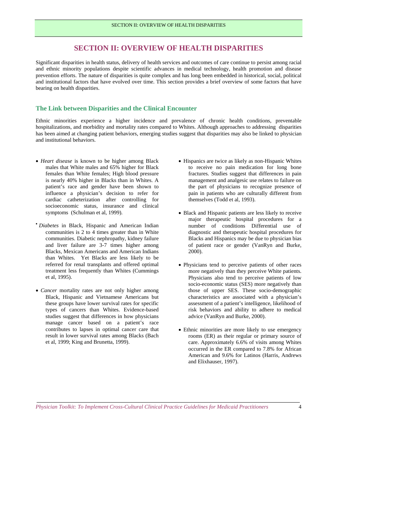# **SECTION II: OVERVIEW OF HEALTH DISPARITIES**

 and ethnic minority populations despite scientific advances in medical technology, health promotion and disease and institutional factors that have evolved over time. This section provides a brief overview of some factors that have Significant disparities in health status, delivery of health services and outcomes of care continue to persist among racial prevention efforts. The nature of disparities is quite complex and has long been embedded in historical, social, political bearing on health disparities.

#### **The Link between Disparities and the Clinical Encounter**

 Ethnic minorities experience a higher incidence and prevalence of chronic health conditions, preventable hospitalizations, and morbidity and mortality rates compared to Whites. Although approaches to addressing disparities has been aimed at changing patient behaviors, emerging studies suggest that disparities may also be linked to physician and institutional behaviors.

- males that White males and 65% higher for Black females than White females; High blood pressure patient's race and gender have been shown to • *Heart disease* is known to be higher among Black is nearly 40% higher in Blacks than in Whites. A influence a physician's decision to refer for cardiac catheterization after controlling for socioeconomic status, insurance and clinical symptoms (Schulman et al, 1999).
- • *Diabetes* in Black, Hispanic and American Indian than Whites. Yet Blacks are less likely to be communities is 2 to 4 times greater than in White communities. Diabetic nephropathy, kidney failure and liver failure are 3-7 times higher among Blacks, Mexican Americans and American Indians referred for renal transplants and offered optimal treatment less frequently than Whites (Cummings et al, 1995).
- these groups have lower survival rates for specific types of cancers than Whites. Evidence-based • *Cancer* mortality rates are not only higher among Black, Hispanic and Vietnamese Americans but studies suggest that differences in how physicians manage cancer based on a patient's race contributes to lapses in optimal cancer care that result in lower survival rates among Blacks (Bach et al, 1999; King and Brunetta, 1999).
- fractures. Studies suggest that differences in pain management and analgesic use relates to failure on the part of physicians to recognize presence of pain in patients who are culturally different from • Hispanics are twice as likely as non-Hispanic Whites to receive no pain medication for long bone themselves (Todd et al, 1993).
- major therapeutic hospital procedures for a Blacks and Hispanics may be due to physician bias of patient race or gender (VanRyn and Burke, • Black and Hispanic patients are less likely to receive number of conditions Differential use of diagnostic and therapeutic hospital procedures for 2000).
- more negatively than they perceive White patients. Physicians also tend to perceive patients of low socio-economic status (SES) more negatively than • Physicians tend to perceive patients of other races those of upper SES. These socio-demographic characteristics are associated with a physician's assessment of a patient's intelligence, likelihood of risk behaviors and ability to adhere to medical advice (VanRyn and Burke, 2000).
- rooms (ER) as their regular or primary source of care. Approximately 6.6% of visits among Whites occurred in the ER compared to 7.8% for African • Ethnic minorities are more likely to use emergency American and 9.6% for Latinos (Harris, Andrews and Elixhauser, 1997).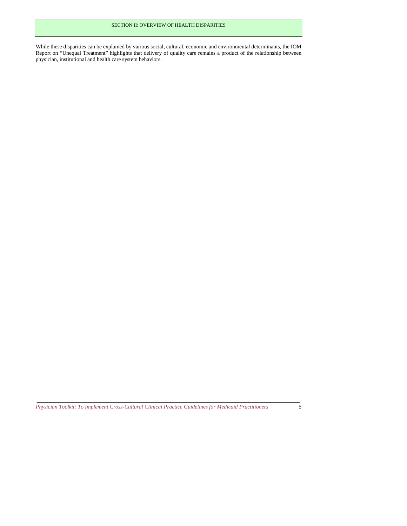physician, institutional and health care system behaviors. While these disparities can be explained by various social, cultural, economic and environmental determinants, the IOM Report on "Unequal Treatment" highlights that delivery of quality care remains a product of the relationship between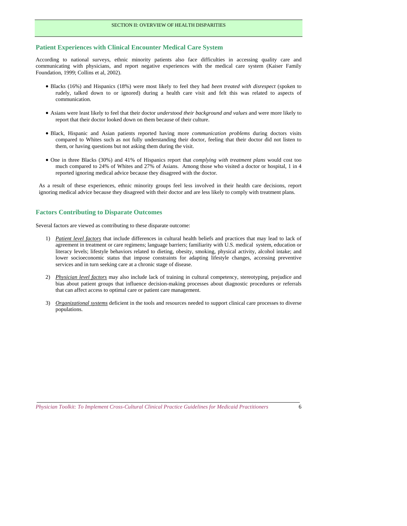## **Patient Experiences with Clinical Encounter Medical Care System**

 According to national surveys, ethnic minority patients also face difficulties in accessing quality care and communicating with physicians, and report negative experiences with the medical care system (Kaiser Family Foundation, 1999; Collins et al, 2002).

- rudely, talked down to or ignored) during a health care visit and felt this was related to aspects of • Blacks (16%) and Hispanics (18%) were most likely to feel they had *been treated with disrespect* (spoken to communication.
- • Asians were least likely to feel that their doctor *understood their background and values* and were more likely to report that their doctor looked down on them because of their culture.
- them, or having questions but not asking them during the visit. • Black, Hispanic and Asian patients reported having more *communication problems* during doctors visits compared to Whites such as not fully understanding their doctor, feeling that their doctor did not listen to
- much compared to 24% of Whites and 27% of Asians. Among those who visited a doctor or hospital, 1 in 4 reported ignoring medical advice because they disagreed with the doctor. • One in three Blacks (30%) and 41% of Hispanics report that *complying with treatment plans* would cost too

 reported ignoring medical advice because they disagreed with the doctor. As a result of these experiences, ethnic minority groups feel less involved in their health care decisions, report ignoring medical advice because they disagreed with their doctor and are less likely to comply with treatment plans.

## **Factors Contributing to Disparate Outcomes**

Several factors are viewed as contributing to these disparate outcome:

- agreement in treatment or care regimens; language barriers; familiarity with U.S. medical system, education or literacy levels; lifestyle behaviors related to dieting, obesity, smoking, physical activity, alcohol intake; and services and in turn seeking care at a chronic stage of disease. 1) *Patient level factors* that include differences in cultural health beliefs and practices that may lead to lack of lower socioeconomic status that impose constraints for adapting lifestyle changes, accessing preventive
- bias about patient groups that influence decision-making processes about diagnostic procedures or referrals 2) *Physician level factors* may also include lack of training in cultural competency, stereotyping, prejudice and that can affect access to optimal care or patient care management.
- 3) *Organizational systems* deficient in the tools and resources needed to support clinical care processes to diverse populations.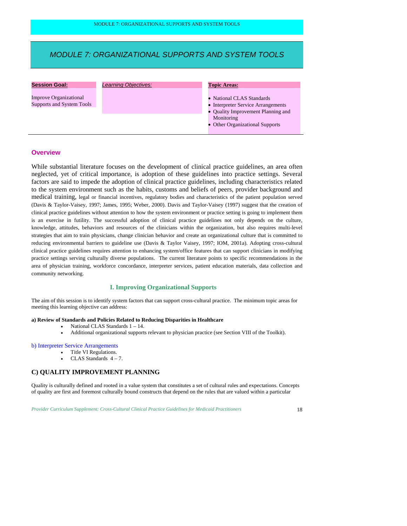### *MODULE 7: ORGANIZATIONAL SUPPORTS AND SYSTEM TOOLS*

| <b>Session Goal:</b>                                       | Learning Objectives: | <b>Topic Areas:</b>                                                                                                                                    |
|------------------------------------------------------------|----------------------|--------------------------------------------------------------------------------------------------------------------------------------------------------|
| <b>Improve Organizational</b><br>Supports and System Tools |                      | • National CLAS Standards<br>• Interpreter Service Arrangements<br>• Quality Improvement Planning and<br>Monitoring<br>• Other Organizational Supports |

### **Overview**

 medical training, legal or financial incentives, regulatory bodies and characteristics of the patient population served is an exercise in futility. The successful adoption of clinical practice guidelines not only depends on the culture, practice settings serving culturally diverse populations. The current literature points to specific recommendations in the While substantial literature focuses on the development of clinical practice guidelines, an area often neglected, yet of critical importance, is adoption of these guidelines into practice settings. Several factors are said to impede the adoption of clinical practice guidelines, including characteristics related to the system environment such as the habits, customs and beliefs of peers, provider background and (Davis & Taylor-Vaisey, 1997; James, 1995; Weber, 2000). Davis and Taylor-Vaisey (1997) suggest that the creation of clinical practice guidelines without attention to how the system environment or practice setting is going to implement them knowledge, attitudes, behaviors and resources of the clinicians within the organization, but also requires multi-level strategies that aim to train physicians, change clinician behavior and create an organizational culture that is committed to reducing environmental barriers to guideline use (Davis & Taylor Vaisey, 1997; IOM, 2001a). Adopting cross-cultural clinical practice guidelines requires attention to enhancing system/office features that can support clinicians in modifying area of physician training, workforce concordance, interpreter services, patient education materials, data collection and community networking.

#### **I. Improving Organizational Supports**

 meeting this learning objective can address: The aim of this session is to identify system factors that can support cross-cultural practice. The minimum topic areas for

#### **a) Review of Standards and Policies Related to Reducing Disparities in Healthcare**

- National CLAS Standards 1 14.
- Additional organizational supports relevant to physician practice (see Section VIII of the Toolkit).

#### b) Interpreter Service Arrangements

- Title VI Regulations.
- CLAS Standards  $4-7$ .

### **C) QUALITY IMPROVEMENT PLANNING**

 Quality is culturally defined and rooted in a value system that constitutes a set of cultural rules and expectations. Concepts of quality are first and foremost culturally bound constructs that depend on the rules that are valued within a particular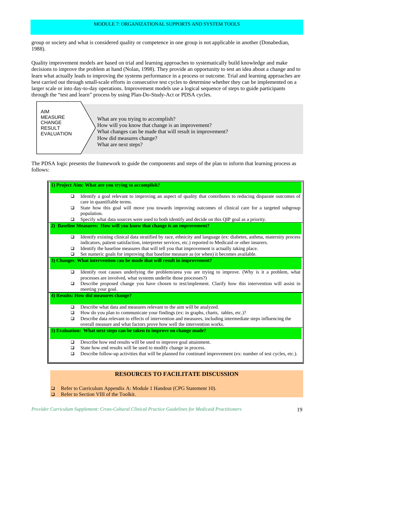group or society and what is considered quality or competence in one group is not applicable in another (Donabedian, 1988).

 decisions to improve the problem at hand (Nolan, 1998). They provide an opportunity to test an idea about a change and to larger scale or into day-to-day operations. Improvement models use a logical sequence of steps to guide participants Quality improvement models are based on trial and learning approaches to systematically build knowledge and make learn what actually leads to improving the systems performance in a process or outcome. Trial and learning approaches are best carried out through small-scale efforts in consecutive test cycles to determine whether they can be implemented on a through the "test and learn" process by using Plan-Do-Study-Act or PDSA cycles.



The PDSA logic presents the framework to guide the components and steps of the plan to inform that learning process as follows:

| 1) Project Aim: What are you trying to accomplish?                                                    |                                                                                                                                                                                                                              |  |  |
|-------------------------------------------------------------------------------------------------------|------------------------------------------------------------------------------------------------------------------------------------------------------------------------------------------------------------------------------|--|--|
|                                                                                                       |                                                                                                                                                                                                                              |  |  |
| ▫                                                                                                     | Identify a goal relevant to improving an aspect of quality that contributes to reducing disparate outcomes of<br>care in quantifiable terms.                                                                                 |  |  |
| ▫                                                                                                     | State how this goal will move you towards improving outcomes of clinical care for a targeted subgroup<br>population.                                                                                                         |  |  |
| Specify what data sources were used to both identify and decide on this QIP goal as a priority.<br>o. |                                                                                                                                                                                                                              |  |  |
| 2) Baseline Measures: How will you know that change is an improvement?                                |                                                                                                                                                                                                                              |  |  |
| ▫                                                                                                     | Identify existing clinical data stratified by race, ethnicity and language (ex: diabetes, asthma, maternity process<br>indicators, patient satisfaction, interpreter services, etc.) reported to Medicaid or other insurers. |  |  |
| ▫                                                                                                     | Identify the baseline measures that will tell you that improvement is actually taking place.                                                                                                                                 |  |  |
| ▫                                                                                                     | Set numeric goals for improving that baseline measure as (or when) it becomes available.                                                                                                                                     |  |  |
|                                                                                                       | 3) Changes: What intervention can be made that will result in improvement?                                                                                                                                                   |  |  |
| ▫                                                                                                     | Identify root causes underlying the problem/area you are trying to improve. (Why is it a problem, what<br>processes are involved, what systems underlie those processes?)                                                    |  |  |
| ▫                                                                                                     | Describe proposed change you have chosen to test/implement. Clarify how this intervention will assist in<br>meeting your goal.                                                                                               |  |  |
| 4) Results: How did measures change?                                                                  |                                                                                                                                                                                                                              |  |  |
| ▫                                                                                                     | Describe what data and measures relevant to the aim will be analyzed.                                                                                                                                                        |  |  |
| ▫                                                                                                     | How do you plan to communicate your findings (ex: in graphs, charts, tables, etc.)?                                                                                                                                          |  |  |
| ▫                                                                                                     | Describe data relevant to effects of intervention and measures, including intermediate steps influencing the<br>overall measure and what factors prove how well the intervention works.                                      |  |  |
|                                                                                                       | 5) Evaluation: What next steps can be taken to improve on change made?                                                                                                                                                       |  |  |
| ▫                                                                                                     | Describe how end results will be used to improve goal attainment.                                                                                                                                                            |  |  |
| ▫                                                                                                     | State how end results will be used to modify change in process.                                                                                                                                                              |  |  |
| ▫                                                                                                     | Describe follow-up activities that will be planned for continued improvement (ex: number of test cycles, etc.).                                                                                                              |  |  |

#### **RESOURCES TO FACILITATE DISCUSSION**

Refer to Curriculum Appendix A: Module 1 Handout (CPG Statement 10).

Refer to Section VIII of the Toolkit.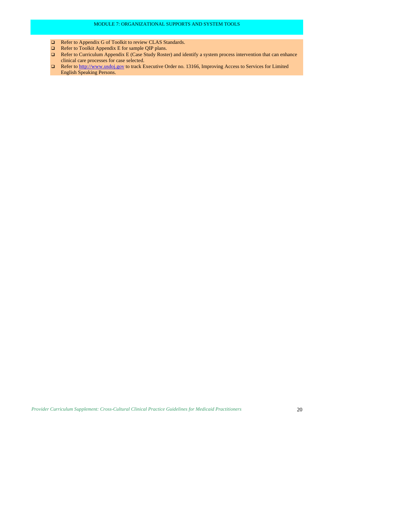- □ Refer to Appendix G of Toolkit to review CLAS Standards.
- Refer to Toolkit Appendix E for sample QIP plans.
- $\Box$  Refer to Curriculum Appendix E (Case Study Roster) and identify a system process intervention that can enhance clinical care processes for case selected.
- Refer to http://www.usdoj.gov to track Executive Order no. 13166, Improving Access to Services for Limited English Speaking Persons.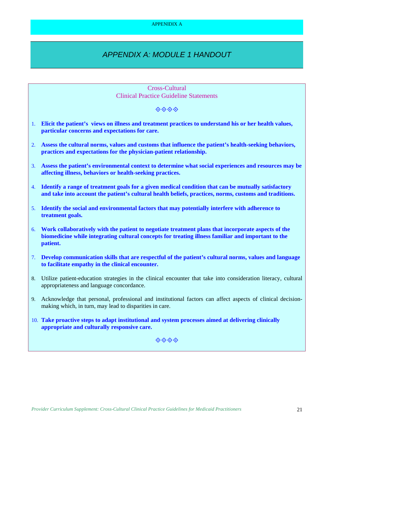### APPENIDIX A

# *APPENDIX A: MODULE 1 HANDOUT*

|    | Cross-Cultural<br><b>Clinical Practice Guideline Statements</b>                                                                                                                                                         |
|----|-------------------------------------------------------------------------------------------------------------------------------------------------------------------------------------------------------------------------|
|    | $\diamond \diamond \diamond \diamond$                                                                                                                                                                                   |
|    | 1. Elicit the patient's views on illness and treatment practices to understand his or her health values,<br>particular concerns and expectations for care.                                                              |
| 2. | Assess the cultural norms, values and customs that influence the patient's health-seeking behaviors,<br>practices and expectations for the physician-patient relationship.                                              |
|    | 3. Assess the patient's environmental context to determine what social experiences and resources may be<br>affecting illness, behaviors or health-seeking practices.                                                    |
|    | 4. Identify a range of treatment goals for a given medical condition that can be mutually satisfactory<br>and take into account the patient's cultural health beliefs, practices, norms, customs and traditions.        |
|    | 5. Identify the social and environmental factors that may potentially interfere with adherence to<br>treatment goals.                                                                                                   |
|    | 6. Work collaboratively with the patient to negotiate treatment plans that incorporate aspects of the<br>biomedicine while integrating cultural concepts for treating illness familiar and important to the<br>patient. |
|    | 7. Develop communication skills that are respectful of the patient's cultural norms, values and language<br>to facilitate empathy in the clinical encounter.                                                            |
|    | 8. Utilize patient-education strategies in the clinical encounter that take into consideration literacy, cultural<br>appropriateness and language concordance.                                                          |
|    | 9. Acknowledge that personal, professional and institutional factors can affect aspects of clinical decision-<br>making which, in turn, may lead to disparities in care.                                                |
|    | 10. Take proactive steps to adapt institutional and system processes aimed at delivering clinically<br>appropriate and culturally responsive care.                                                                      |
|    | ◈◈◈◈                                                                                                                                                                                                                    |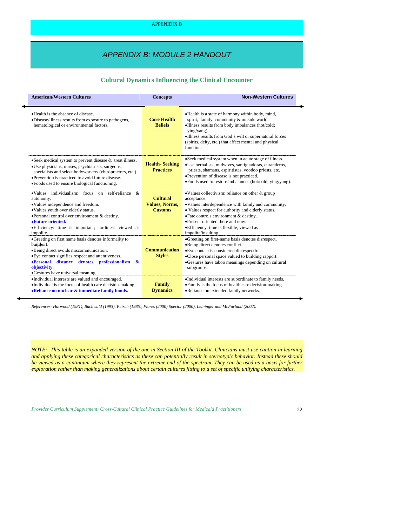## *APPENDIX B: MODULE 2 HANDOUT*

### **Cultural Dynamics Influencing the Clinical Encounter**

| <b>American/Western Cultures</b>                                                                                                                                                                                                                                                               | <b>Concepts</b>                                            | <b>Non-Western Cultures</b>                                                                                                                                                                                                                                                                                                          |
|------------------------------------------------------------------------------------------------------------------------------------------------------------------------------------------------------------------------------------------------------------------------------------------------|------------------------------------------------------------|--------------------------------------------------------------------------------------------------------------------------------------------------------------------------------------------------------------------------------------------------------------------------------------------------------------------------------------|
| • Health is the absence of disease.<br>•Disease/illness results from exposure to pathogens,<br>hematological or environmental factors.                                                                                                                                                         | <b>Core Health</b><br><b>Beliefs</b>                       | . Health is a state of harmony within body, mind,<br>spirit, family, community & outside world.<br>•Illness results from body imbalances (hot/cold;<br>ying/yang).<br>•Illness results from God's will or supernatural forces<br>(spirits, deity, etc.) that affect mental and physical<br>function.                                 |
| • Seek medical system to prevent disease $\&$ treat illness.<br>•Use physicians, nurses, psychiatrists, surgeons,<br>specialists and select bodyworkers (chiropractors, etc.).<br>•Prevention is practiced to avoid future disease.<br>•Foods used to ensure biological functioning.           | <b>Health-Seeking</b><br><b>Practices</b>                  | •Seek medical system when in acute stage of illness.<br>•Use herbalists, midwives, santiguadoras, curanderos,<br>priests, shamans, espiritistas, voodoo priests, etc.<br>•Prevention of disease is not practiced.<br>•Foods used to restore imbalances (hot/cold; ying/yang).                                                        |
| •Values individualism: focus on self-reliance $\&$<br>autonomy.<br>•Values independence and freedom.<br>•Values youth over elderly status.<br>$\bullet$ Personal control over environment & destiny.<br>•Future oriented.<br>• Efficiency: time is important; tardiness viewed as<br>impolite. | <b>Cultural</b><br><b>Values, Norms,</b><br><b>Customs</b> | •Values collectivism: reliance on other & group<br>acceptance.<br>•Values interdependence with family and community.<br>• Values respect for authority and elderly status.<br>$\bullet$ Fate controls environment & destiny.<br>•Present oriented: here and now.<br>• Efficiency: time is flexible; viewed as<br>impolite/insulting. |
| •Greeting on first name basis denotes informality to<br>brapport.<br>•Being direct avoids miscommunication.<br>• Eye contact signifies respect and attentiveness.<br>·Personal distance denotes professionalism<br>$\mathbf{k}$<br>objectivity.<br>•Gestures have universal meaning.           | <b>Communication</b><br><b>Styles</b>                      | •Greeting on first-name basis denotes disrespect.<br>•Being direct denotes conflict.<br>• Eye contact is considered disrespectful.<br>•Close personal space valued to building rapport.<br>•Gestures have taboo meanings depending on cultural<br>subgroups.                                                                         |
| •Individual interests are valued and encouraged.<br>•Individual is the focus of health care decision-making.<br>•Reliance on nuclear & immediate family bonds.                                                                                                                                 | Family<br><b>Dynamics</b>                                  | •Individual interests are subordinate to family needs.<br>•Family is the focus of health care decision-making.<br>•Reliance on extended family networks.                                                                                                                                                                             |

References: Harwood (1981), Buchwald (1993), Putsch (1985), Flores (2000) Spector (2000), Leininger and McFarland (2002).

NOTE: This table is an expanded version of the one in Section III of the Toolkit. Clinicians must use caution in learning *and applying these categorical characteristics as these can potentially result in stereotypic behavior. Instead these should be viewed as a continuum where they represent the extreme end of the spectrum. They can be used as a basis for further exploration rather than making generalizations about certain cultures fitting to a set of specific unifying characteristics.*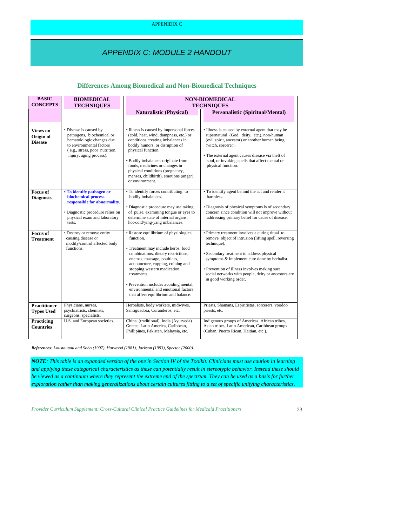## *APPENDIX C: MODULE 2 HANDOUT*

### **Differences Among Biomedical and Non-Biomedical Techniques**

| <b>BASIC</b><br><b>CONCEPTS</b>                | <b>BIOMEDICAL</b><br><b>TECHNIQUES</b>                                                                                                                                    | <b>NON-BIOMEDICAL</b><br><b>TECHNIQUES</b>                                                                                                                                                                                                                                                                                                                                   |                                                                                                                                                                                                                                                                                                                                                      |  |
|------------------------------------------------|---------------------------------------------------------------------------------------------------------------------------------------------------------------------------|------------------------------------------------------------------------------------------------------------------------------------------------------------------------------------------------------------------------------------------------------------------------------------------------------------------------------------------------------------------------------|------------------------------------------------------------------------------------------------------------------------------------------------------------------------------------------------------------------------------------------------------------------------------------------------------------------------------------------------------|--|
|                                                |                                                                                                                                                                           | <b>Naturalistic (Physical)</b>                                                                                                                                                                                                                                                                                                                                               | <b>Personalistic (Spiritual/Mental)</b>                                                                                                                                                                                                                                                                                                              |  |
| <b>Views on</b><br>Origin of<br><b>Disease</b> | · Disease is caused by<br>pathogens, biochemical or<br>hematolologic changes due<br>to environmental factors<br>(e.g., stress, poor nutrition,<br>injury, aging process). | • Illness is caused by impersonal forces<br>(cold, heat, wind, dampness, etc.) or<br>conditions creating imbalances in<br>bodily humors, or disruption of<br>physical function.<br>· Bodily imbalances originate from<br>foods, medicines or changes in<br>physical conditions (pregnancy,<br>menses, childbirth), emotions (anger)<br>or environment.                       | • Illness is caused by external agent that may be<br>supernatural (God, deity, etc.), non-human<br>(evil spirit, ancestor) or another human being<br>(witch, sorcerer).<br>• The external agent causes disease via theft of<br>soul, or invoking spells that affect mental or<br>physical function.                                                  |  |
| <b>Focus of</b><br><b>Diagnosis</b>            | • To identify pathogen or<br>biochemical process<br>responsible for abnormality.<br>· Diagnostic procedure relies on<br>physical exam and laboratory<br>tests.            | • To identify forces contributing to<br>bodily imbalances.<br>· Diagnostic procedure may use taking<br>of pulse, examining tongue or eyes to<br>determine state of internal organs,<br>hot-cold/ying-yang imbalances.                                                                                                                                                        | • To identify agent behind the act and render it<br>harmless.<br>• Diagnosis of physical symptoms is of secondary<br>concern since condition will not improve without<br>addressing primary belief for cause of disease.                                                                                                                             |  |
| <b>Focus of</b><br><b>Treatment</b>            | • Destroy or remove entity<br>causing disease or<br>modify/control affected body<br>functions.                                                                            | • Restore equilibrium of physiological<br>function.<br>• Treatment may include herbs, food<br>combinations, dietary restrictions,<br>enemas, massage, poultices,<br>acupuncture, cupping, coining and<br>stopping western medication<br>treatments.<br>• Prevention includes avoiding mental,<br>environmental and emotional factors<br>that affect equilibrium and balance. | • Primary treatment involves a curing ritual to<br>remove object of intrusion (lifting spell, reversing<br>technique).<br>• Secondary treatment to address physical<br>symptoms & implement cure done by herbalist.<br>• Prevention of illness involves making sure<br>social networks with people, deity or ancestors are<br>in good working order. |  |
| <b>Practitioner</b><br><b>Types Used</b>       | Physicians, nurses,<br>psychiatrists, chemists,<br>surgeons, specialists.                                                                                                 | Herbalists, body workers, midwives,<br>Santiguadora, Curanderos, etc.                                                                                                                                                                                                                                                                                                        | Priests, Shamans, Espiritistas, sorcerers, voodoo<br>priests, etc.                                                                                                                                                                                                                                                                                   |  |
| Practicing<br><b>Countries</b>                 | U.S. and European societies.                                                                                                                                              | China (traditional), India (Ayurveda)<br>Greece, Latin America, Caribbean,<br>Phillipines, Pakistan, Malaysia, etc.                                                                                                                                                                                                                                                          | Indigenous groups of Americas, African tribes,<br>Asian tribes, Latin American, Caribbean groups<br>(Cuban, Puerto Rican, Haitian, etc.).                                                                                                                                                                                                            |  |

*References: Loustaunau and Sobo (1997), Harwood (1981), Jackson (1993), Spector (2000).* 

 *NOTE: This table is an expanded version of the one in Section IV of the Toolkit. Clinicians must use caution in learning*  be viewed as a continuum where they represent the extreme end of the spectrum. They can be used as a basis for further *and applying these categorical characteristics as these can potentially result in stereotypic behavior. Instead these should exploration rather than making generalizations about certain cultures fitting to a set of specific unifying characteristics.*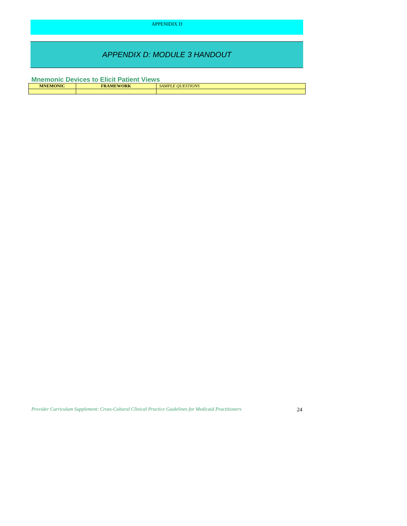APPENIDIX D

# *APPENDIX D: MODULE 3 HANDOUT*

**Mnemonic Devices to Elicit Patient Views** 

| <b>MNEMONIC</b><br><b>FRAMEWORK</b> |  | $\sqrt{10}$<br><b>SAMPLE</b><br>STIONS<br>IIIF |  |
|-------------------------------------|--|------------------------------------------------|--|
|                                     |  |                                                |  |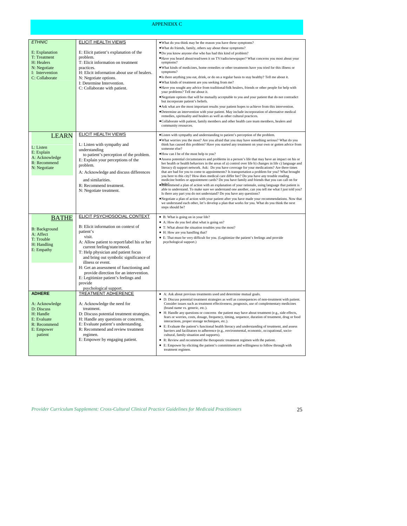### APPENIDIX C

| <b>ETHNIC</b>                                                                                                      | ELICIT HEALTH VIEWS                                                                                                                                                                                                                                                                                                                                                                                              | • What do you think may be the reason you have these symptoms?                                                                                                                                                                                                                                                                                                                                                                                                                                                                                                                                                                                                                                                                                                                                                                                                                                                                                                                                                                                                                                                                                                                                                                                                                                                                                                                                                                                                                                |
|--------------------------------------------------------------------------------------------------------------------|------------------------------------------------------------------------------------------------------------------------------------------------------------------------------------------------------------------------------------------------------------------------------------------------------------------------------------------------------------------------------------------------------------------|-----------------------------------------------------------------------------------------------------------------------------------------------------------------------------------------------------------------------------------------------------------------------------------------------------------------------------------------------------------------------------------------------------------------------------------------------------------------------------------------------------------------------------------------------------------------------------------------------------------------------------------------------------------------------------------------------------------------------------------------------------------------------------------------------------------------------------------------------------------------------------------------------------------------------------------------------------------------------------------------------------------------------------------------------------------------------------------------------------------------------------------------------------------------------------------------------------------------------------------------------------------------------------------------------------------------------------------------------------------------------------------------------------------------------------------------------------------------------------------------------|
| E: Explanation<br>T: Treatment<br>H: Healers<br>N: Negotiate<br>I: Intervention<br>C: Collaborate                  | E: Elicit patient's explanation of the<br>problem.<br>T: Elicit information on treatment<br>practices.<br>H: Elicit information about use of healers.<br>N: Negotiate options.<br>I: Determine Intervention.<br>C: Collaborate with patient.                                                                                                                                                                     | . What do friends, family, others say about these symptoms?<br>. Do you know anyone else who has had this kind of problem?<br>. Have you heard about/read/seen it on TV/radio/newspaper? What concerns you most about your<br>symptoms?<br>. What kinds of medicines, home remedies or other treatments have you tried for this illness or<br>symptoms?<br>• Is there anything you eat, drink, or do on a regular basis to stay healthy? Tell me about it.<br>. What kinds of treatment are you seeking from me?<br>. Have you sought any advice from traditional/folk healers, friends or other people for help with<br>your problems? Tell me about it.<br>• Negotiate options that will be mutually acceptable to you and your patient that do not contradict<br>but incorporate patient's beliefs.<br>• Ask what are the most important results your patient hopes to achieve from this intervention.<br>· Determine an intervention with your patient. May include incorporation of alternative medical<br>remedies, spirituality and healers as well as other cultural practices.<br>· Collaborate with patient, family members and other health care team members, healers and<br>community resources.                                                                                                                                                                                                                                                                                 |
|                                                                                                                    |                                                                                                                                                                                                                                                                                                                                                                                                                  |                                                                                                                                                                                                                                                                                                                                                                                                                                                                                                                                                                                                                                                                                                                                                                                                                                                                                                                                                                                                                                                                                                                                                                                                                                                                                                                                                                                                                                                                                               |
| <b>LEARN</b><br>L: Listen<br>E: Explain<br>A: Acknowledge<br>R: Recommend<br>N: Negotiate                          | ELICIT HEALTH VIEWS<br>L: Listen with sympathy and<br>understanding<br>to patient's perception of the problem.<br>E: Explain your perceptions of the<br>problem.<br>A: Acknowledge and discuss differences<br>and similarities.<br>R: Recommend treatment.<br>N: Negotiate treatment.                                                                                                                            | · Listen with sympathy and understanding to patient's perception of the problem.<br>. What worries you the most? Are you afraid that you may have something serious? What do you<br>think has caused this problem? Have you started any treatment on your own or gotten advice from<br>someone else?<br>. How can I be of the most help to you?<br>• Assess potential circumstances and problems in a person's life that may have an impact on his or<br>her health or health behaviors in the areas of a) control over life b) changes in life c) language and<br>literacy d) support network. Ask: Do you have coverage for your medications? Are there times<br>that are bad for you to come to appointments? Is transportation a problem for you? What brought<br>you here to this city? How does medical care differ her? Do you have any trouble reading<br>medicine bottles or appointment cards? Do you have family and friends that you can call on for<br>$\bullet$ Reference Research Research and Euler and Euler and System and System and Research Assume that patient is<br>able to understand. To make sure we understand one another, can you tell me what I just told you?<br>Is there any part you do not understand? Do you have any questions?<br>. Negotiate a plan of action with your patient after you have made your recommendations. Now that<br>we understand each other, let's develop a plan that works for you. What do you think the next<br>steps should be? |
|                                                                                                                    | ELICIT PSYCHOSOCIAL CONTEXT                                                                                                                                                                                                                                                                                                                                                                                      | • B: What is going on in your life?                                                                                                                                                                                                                                                                                                                                                                                                                                                                                                                                                                                                                                                                                                                                                                                                                                                                                                                                                                                                                                                                                                                                                                                                                                                                                                                                                                                                                                                           |
| <b>BATHE</b><br><b>B</b> : Background<br>A: Affect<br>T: Trouble<br>H: Handling<br>E: Empathy                      | B: Elicit information on context of<br>patient's<br>visit.<br>A: Allow patient to report/label his or her<br>current feeling/state/mood.<br>T: Help physician and patient focus<br>and bring out symbolic significance of<br>illness or event.<br>H: Get an assessment of functioning and<br>provide direction for an intervention.<br>E: Legitimize patient's feelings and<br>provide<br>psychological support. | • A: How do you feel abut what is going on?<br>• T: What about the situation troubles you the most?<br>• H: How are you handling that?<br>• E: That must be very difficult for you. (Legitimize the patient's feelings and provide<br>psychological support.)                                                                                                                                                                                                                                                                                                                                                                                                                                                                                                                                                                                                                                                                                                                                                                                                                                                                                                                                                                                                                                                                                                                                                                                                                                 |
| <b>ADHERE</b><br>A: Acknowledge<br>D: Discuss<br>H: Handle<br>E: Evaluate<br>R: Recommend<br>E: Empower<br>patient | <b>TREATMENT ADHERENCE</b><br>A: Acknowledge the need for<br>treatment.<br>D: Discuss potential treatment strategies.<br>H: Handle any questions or concerns.<br>E: Evaluate patient's understanding.<br>R: Recommend and review treatment<br>regimen.<br>E: Empower by engaging patient.                                                                                                                        | • A: Ask about previous treatments used and determine mutual goals.<br>• D: Discuss potential treatment strategies as well as consequences of non-treatment with patient.<br>Consider issues such as treatment effectiveness, prognosis, use of complementary medicines<br>(brand name vs. generic, etc.).<br>• H: Handle any questions or concerns the patient may have about treatment (e.g., side effects,<br>fears or worries, costs, dosage, frequency, timing, sequence, duration of treatment, drug or food<br>interactions, proper storage techniques, etc.).<br>• E: Evaluate the patient's functional health literacy and understanding of treatment, and assess<br>barriers and facilitators to adherence (e.g., environmental, economic, occupational, socio-<br>cultural, family situation and supports).<br>$\bullet$<br>R: Review and recommend the therapeutic treatment regimen with the patient.<br>E: Empower by eliciting the patient's commitment and willingness to follow through with<br>$\bullet$<br>treatment regimen.                                                                                                                                                                                                                                                                                                                                                                                                                                              |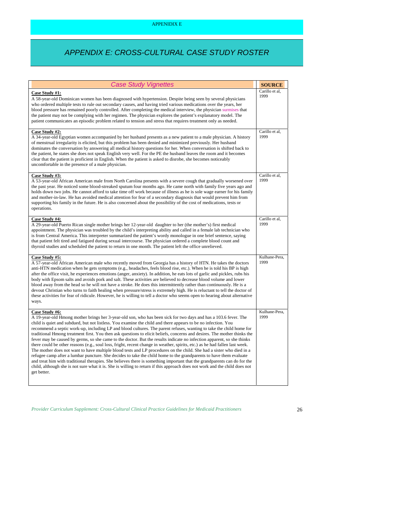# *APPENDIX E: CROSS-CULTURAL CASE STUDY ROSTER*

| <b>Case Study Vignettes</b>                                                                                                                                                                                                                                                                                                                                                                                                                                                                                                                                                                                                                                                                                                                                                                                                                                                                                                                                                                                                                                                                                                                                                                                                                                                           | <b>SOURCE</b>          |
|---------------------------------------------------------------------------------------------------------------------------------------------------------------------------------------------------------------------------------------------------------------------------------------------------------------------------------------------------------------------------------------------------------------------------------------------------------------------------------------------------------------------------------------------------------------------------------------------------------------------------------------------------------------------------------------------------------------------------------------------------------------------------------------------------------------------------------------------------------------------------------------------------------------------------------------------------------------------------------------------------------------------------------------------------------------------------------------------------------------------------------------------------------------------------------------------------------------------------------------------------------------------------------------|------------------------|
| Case Study #1:<br>A 58-year-old Dominican women has been diagnosed with hypertension. Despite being seen by several physicians<br>who ordered multiple tests to rule out secondary causes, and having tried various medications over the years, her<br>blood pressure has remained poorly controlled. After completing the medical interview, the physician surmises that<br>the patient may not be complying with her regimen. The physician explores the patient's explanatory model. The<br>patient communicates an episodic problem related to tension and stress that requires treatment only as needed.                                                                                                                                                                                                                                                                                                                                                                                                                                                                                                                                                                                                                                                                         | Carillo et al.<br>1999 |
| Case Study #2:<br>A 34-year-old Egyptian women accompanied by her husband presents as a new patient to a male physician. A history<br>of menstrual irregularity is elicited, but this problem has been denied and minimized previously. Her husband<br>dominates the conversation by answering all medical history questions for her. When conversation is shifted back to<br>the patient, he states she does not speak English very well. For the PE the husband leaves the room and it becomes<br>clear that the patient is proficient in English. When the patient is asked to disrobe, she becomes noticeably<br>uncomfortable in the presence of a male physician.                                                                                                                                                                                                                                                                                                                                                                                                                                                                                                                                                                                                               | Carillo et al,<br>1999 |
| Case Study #3:<br>A 53-year-old African American male from North Carolina presents with a severe cough that gradually worsened over<br>the past year. He noticed some blood-streaked sputum four months ago. He came north with family five years ago and<br>holds down two jobs. He cannot afford to take time off work because of illness as he is sole wage earner for his family<br>and mother-in-law. He has avoided medical attention for fear of a secondary diagnosis that would prevent him from<br>supporting his family in the future. He is also concerned about the possibility of the cost of medications, tests or<br>operations.                                                                                                                                                                                                                                                                                                                                                                                                                                                                                                                                                                                                                                      | Carillo et al.<br>1999 |
| Case Study #4:<br>A 29-year-old Puerto Rican single mother brings her 12-year-old daughter to her (the mother's) first medical<br>appointment. The physician was troubled by the child's interpreting ability and called in a female lab technician who<br>is from Central America. This interpreter summarized the patient's wordy monologue in one brief sentence, saying<br>that patient felt tired and fatigued during sexual intercourse. The physician ordered a complete blood count and<br>thyroid studies and scheduled the patient to return in one month. The patient left the office unrelieved.                                                                                                                                                                                                                                                                                                                                                                                                                                                                                                                                                                                                                                                                          | Carillo et al,<br>1999 |
| Case Study #5:<br>A 57-year-old African American male who recently moved from Georgia has a history of HTN. He takes the doctors<br>anti-HTN medication when he gets symptoms (e.g., headaches, feels blood rise, etc.). When he is told his BP is high<br>after the office visit, he experiences emotions (anger, anxiety). In addition, he eats lots of garlic and pickles, rubs his<br>body with Epsom salts and avoids pork and salt. These activities are believed to decrease blood volume and lower<br>blood away from the head so he will not have a stroke. He does this intermittently rather than continuously. He is a<br>devout Christian who turns to faith healing when pressure/stress is extremely high. He is reluctant to tell the doctor of<br>these activities for fear of ridicule. However, he is willing to tell a doctor who seems open to hearing about alternative<br>ways.                                                                                                                                                                                                                                                                                                                                                                                | Kulhane-Pera.<br>1999  |
| Case Study #6:<br>A 19-year-old Hmong mother brings her 3-year-old son, who has been sick for two days and has a 103.6 fever. The<br>child is quiet and subdued, but not listless. You examine the child and there appears to be no infection. You<br>recommend a septic work-up, including LP and blood cultures. The parent refuses, wanting to take the child home for<br>traditional Hmong treatment first. You then ask questions to elicit beliefs, concerns and desires. The mother thinks the<br>fever may be caused by germs, so she came to the doctor. But the results indicate no infection apparent, so she thinks<br>there could be other reasons (e.g., soul loss, fright, recent change in weather, spirits, etc.) as he had fallen last week.<br>The mother does not want to have multiple blood tests and LP procedures on the child. She had a sister who died in a<br>refugee camp after a lumbar puncture. She decides to take the child home to the grandparents to have them evaluate<br>and treat him with traditional therapies. She believes there is something important that the grandparents can do for the<br>child, although she is not sure what it is. She is willing to return if this approach does not work and the child does not<br>get better. | Kulhane-Pera.<br>1999  |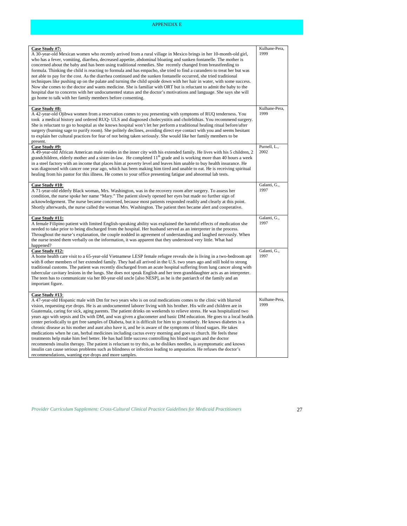### APPENIDIX E

| Case Study #7:<br>A 30-year-old Mexican women who recently arrived from a rural village in Mexico brings in her 10-month-old girl,<br>who has a fever, vomiting, diarrhea, decreased appetite, abdominal bloating and sunken fontanelle. The mother is<br>concerned about the baby and has been using traditional remedies. She recently changed from breastfeeding to<br>formula. Thinking the child is reacting to formula and has empacho, she tried to find a curandero to treat her but was<br>not able to pay for the cost. As the diarrhea continued and the sunken fontanelle occurred, she tried traditional<br>techniques like pushing up on the palate and turning the child upside down with her hair in water, with some success.<br>Now she comes to the doctor and wants medicine. She is familiar with ORT but is reluctant to admit the baby to the<br>hospital due to concerns with her undocumented status and the doctor's motivations and language. She says she will<br>go home to talk with her family members before consenting.                                                                                                                                                                                                                          | Kulhane-Pera,<br>1999 |
|-----------------------------------------------------------------------------------------------------------------------------------------------------------------------------------------------------------------------------------------------------------------------------------------------------------------------------------------------------------------------------------------------------------------------------------------------------------------------------------------------------------------------------------------------------------------------------------------------------------------------------------------------------------------------------------------------------------------------------------------------------------------------------------------------------------------------------------------------------------------------------------------------------------------------------------------------------------------------------------------------------------------------------------------------------------------------------------------------------------------------------------------------------------------------------------------------------------------------------------------------------------------------------------|-----------------------|
| Case Study #8:<br>A 42-year-old Ojibwa women from a reservation comes to you presenting with symptoms of RUQ tenderness. You<br>took a medical history and ordered RUQ- ULS and diagnosed cholecystitis and cholelithias. You recommend surgery.<br>She is reluctant to go to hospital as she knows hospital won't let her perform a traditional healing ritual before/after<br>surgery (burning sage to purify room). She politely declines, avoiding direct eye contact with you and seems hesitant<br>to explain her cultural practices for fear of not being taken seriously. She would like her family members to be<br>present.                                                                                                                                                                                                                                                                                                                                                                                                                                                                                                                                                                                                                                             | Kulhane-Pera,<br>1999 |
| Case Study #9:<br>A 49-year-old African American male resides in the inner city with his extended family. He lives with his 5 children, 2<br>grandchildren, elderly mother and a sister-in-law. He completed 11 <sup>th</sup> grade and is working more than 40 hours a week<br>in a steel factory with an income that places him at poverty level and leaves him unable to buy health insurance. He<br>was diagnosed with cancer one year ago, which has been making him tired and unable to eat. He is receiving spiritual<br>healing from his pastor for this illness. He comes to your office presenting fatigue and abnormal lab tests.                                                                                                                                                                                                                                                                                                                                                                                                                                                                                                                                                                                                                                      | Purnell, L.,<br>2002  |
| Case Study #10:<br>A 71-year-old elderly Black woman, Mrs. Washington, was in the recovery room after surgery. To assess her<br>condition, the nurse spoke her name "Mary." The patient slowly opened her eyes but made no further sign of<br>acknowledgement. The nurse became concerned, because most patients responded readily and clearly at this point.<br>Shortly afterwards, the nurse called the woman Mrs. Washington. The patient then became alert and cooperative.                                                                                                                                                                                                                                                                                                                                                                                                                                                                                                                                                                                                                                                                                                                                                                                                   | Galanti, G.,<br>1997  |
| Case Study #11:<br>A female Filipino patient with limited English-speaking ability was explained the harmful effects of medication she<br>needed to take prior to being discharged from the hospital. Her husband served as an interpreter in the process.<br>Throughout the nurse's explanation, the couple nodded in agreement of understanding and laughed nervously. When<br>the nurse tested them verbally on the information, it was apparent that they understood very little. What had<br>happened?                                                                                                                                                                                                                                                                                                                                                                                                                                                                                                                                                                                                                                                                                                                                                                       | Galanti, G.,<br>1997  |
| Case Study #12:<br>A home health care visit to a 65-year-old Vietnamese LESP female refugee reveals she is living in a two-bedroom apt<br>with 8 other members of her extended family. They had all arrived in the U.S. two years ago and still hold to strong<br>traditional customs. The patient was recently discharged from an acute hospital suffering from lung cancer along with<br>tubercular cavitary lesions in the lungs. She does not speak English and her teen granddaughter acts as an interpreter.<br>The teen has to communicate via her 80-year-old uncle [also NESP], as he is the patriarch of the family and an<br>important figure.                                                                                                                                                                                                                                                                                                                                                                                                                                                                                                                                                                                                                         | Galanti, G.,<br>1997  |
| Case Study #13:<br>A 47-year-old Hispanic male with Dm for two years who is on oral medications comes to the clinic with blurred<br>vision, requesting eye drops. He is an undocumented laborer living with his brother. His wife and children are in<br>Guatemala, caring for sick, aging parents. The patient drinks on weekends to relieve stress. He was hospitalized two<br>years ago with sepsis and Dx with DM, and was given a glucometer and basic DM education. He goes to a local health<br>center periodically to get free samples of Diabeta, but it is difficult for him to go routinely. He knows diabetes is a<br>chronic disease as his mother and aunt also have it, and he is aware of the symptoms of blood sugars. He takes<br>medications when he can, herbal medicines including cactus every morning and goes to church. He feels these<br>treatments help make him feel better. He has had little success controlling his blood sugars and the doctor<br>recommends insulin therapy. The patient is reluctant to try this, as he dislikes needles, is asymptomatic and knows<br>insulin can cause serious problems such as blindness or infection leading to amputation. He refuses the doctor's<br>recommendations, wanting eye drops and more samples. | Kulhane-Pera.<br>1999 |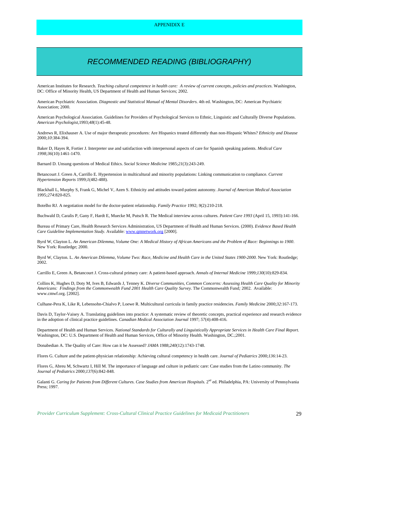## APPENIDIX E

## *RECOMMENDED READING (BIBLIOGRAPHY)*

 American Institutes for Research. *Teaching cultural competence in health care: A review of current concepts, policies and practices*. Washington, DC: Office of Minority Health, US Department of Health and Human Services; 2002.

American Psychiatric Association. *Diagnostic and Statistical Manual of Mental Disorders*. 4th ed. Washington, DC: American Psychiatric Association; 2000.

 American Psychological Association. Guidelines for Providers of Psychological Services to Ethnic, Linguistic and Culturally Diverse Populations. *American Psychologist,*1993;*48*(1):45-48.

 Andrews R, Elixhauser A. Use of major therapeutic procedures: Are Hispanics treated differently than non-Hispanic Whites? *Ethnicity and Disease*  2000;*10*:384-394.

 Baker D, Hayes R, Fortier J. Interpreter use and satisfaction with interpersonal aspects of care for Spanish speaking patients. *Medical Care 1998;36*(10):1461-1470.

Barnard D. Unsung questions of Medical Ethics. *Social Science Medicine* 1985;*21*(3):243-249.

Betancourt J. Green A, Carrillo E. Hypertension in multicultural and minority populations: Linking communication to compliance. *Current Hypertension Reports* 1999;*1*(482-488).

 Blackhall L, Murphy S, Frank G, Michel V, Azen S. Ethnicity and attitudes toward patient autonomy. *Journal of American Medical Association*  1995*;274*:820-825.

Botelho RJ. A negotiation model for the doctor-patient relationship. *Family Practice* 1992; *9*(2):210-218.

Buchwald D, Caralis P, Gany F, Hardt E, Muecke M, Putsch R. The Medical interview across cultures. *Patient Care 1993* (April 15, 1993):141-166.

 Bureau of Primary Care, Health Research Services Administration, US Department of Health and Human Services. (2000). *Evidence Based Health Care Guideline Implementation Study*. Available: www.qmnetwork.org [2000].

 Byrd W, Clayton L. *An American Dilemma, Volume One: A Medical History of African Americans and the Problem of Race: Beginnings to 1900*. New York: Routledge; 2000.

 Byrd W, Clayton. L. *An American Dilemma, Volume Two: Race, Medicine and Health Care in the United States 1900-2000.* New York: Routledge; 2002.

Carrillo E, Green A, Betancourt J. Cross-cultural primary care: A patient-based approach. *Annals of Internal Medicine* 1999;*130*(10):829-834.

 Collins K, Hughes D, Doty M, Ives B, Edwards J, Tenney K. *Diverse Communities, Common Concerns: Assessing Health Care Quality for Minority Americans: Findings from the Commonwealth Fund 2001 Health Care Quality Survey.* The Commonwealth Fund*;* 2002. Available: www.cmwf.org. [2002].

Culhane-Pera K, Like R, Lebensohn-Chialvo P, Loewe R. Multicultural curricula in family practice residencies. *Family Medicine* 2000;*32*:167-173.

Davis D, Taylor-Vaisey A. Translating guidelines into practice: A systematic review of theoretic concepts, practical experience and research evidence in the adoption of clinical practice guidelines. *Canadian Medical Association Journal* 1997; *57*(4):408-416.

 Department of Health and Human Services. *National Standards for Culturally and Linguistically Appropriate Services in Health Care Final Report*. Washington, DC: U.S. Department of Health and Human Services, Office of Minority Health. Washington, DC.;2001.

Donabedian A. The Quality of Care: How can it be Assessed? *JAMA* 1988;*240*(12):1743-1748.

Flores G. Culture and the patient-physician relationship: Achieving cultural competency in health care. *Journal of Pediatrics* 2000;*136*:14-23.

 Flores G, Abreu M, Schwartz I, Hill M. The importance of language and culture in pediatric care: Case studies from the Latino community. *The Journal of Pediatrics* 2000;*137*(6):842-848.

Galanti G. *Caring for Patients from Different Cultures. Case Studies from American Hospitals*. 2<sup>nd</sup> ed. Philadelphia, PA: University of Pennsylvania Press; 1997.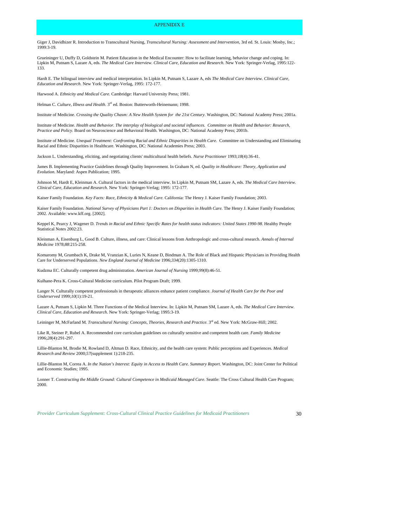## APPENIDIX E

 Giger J, Davidhizer R. Introduction to Transcultural Nursing, *Transcultural Nursing: Assessment and Intervention,* 3rd ed. St. Louis: Mosby, Inc.; 1999:3-19.

 Grueininger U, Duffy D, Goldstein M. Patient Education in the Medical Encounter: How to facilitate learning, behavior change and coping. In: Lipkin M, Putnam S, Lazare A, eds. *The Medical Care Interview. Clinical Care, Education and Research.* New York: Springer-Verlag, 1995:122 133.

Hardt E. The bilingual interview and medical interpretation. In Lipkin M, Putnam S, Lazare A, eds *The Medical Care Interview. Clinical Care, Education and Research.* New York: Springer-Verlag, 1995: 172-177.

Harwood A. *Ethnicity and Medical Care.* Cambridge: Harvard University Press; 1981.

Helman C. *Culture, Illness and Health*. 3<sup>rd</sup> ed. Boston: Butterworth-Heinemann; 1998.

Institute of Medicine. *Crossing the Quality Chasm: A New Health System for the 21st Century*. Washington, DC: National Academy Press; 2001a.

 Institute of Medicine. *Health and Behavior. The interplay of biological and societal influences. Committee on Health and Behavior: Research, Practice and Policy.* Board on Neuroscience and Behavioral Health. Washington, DC: National Academy Press; 2001b.

Institute of Medicine. *Unequal Treatment: Confronting Racial and Ethnic Disparities in Health Care.* Committee on Understanding and Eliminating Racial and Ethnic Disparities in Healthcare. Washington, DC: National Academies Press; 2003.

Jackson L. Understanding, eliciting, and negotiating clients' multicultural health beliefs. *Nurse Practitioner* 1993;*18*(4):36-41.

 James B. Implementing Practice Guidelines through Quality Improvement. In Graham N, ed. *Quality in Healthcare: Theory, Application and Evolution*. Maryland: Aspen Publication; 1995.

 *Clinical Care, Education and Research.* New York: Springer-Verlag; 1995: 172-177. Johnson M, Hardt E, Kleinman A. Cultural factors in the medical interview. In Lipkin M, Putnam SM, Lazare A, eds. *The Medical Care Interview.*

 Kaiser Family Foundation. *Key Facts: Race, Ethnicity & Medical Care.* California: The Henry J. Kaiser Family Foundation; 2003.

 Kaiser Family Foundation. *National Survey of Physicians Part 1: Doctors on Disparities in Health Care.* The Henry J. Kaiser Family Foundation; 2002. Available: www.kff.org. [2002].

 Keppel K, Pearcy J, Wagener D. *Trends in Racial and Ethnic Specific Rates for health status indicators: United States 1990-98.* Healthy People Statistical Notes 2002:23.

 Kleinman A, Eisenburg L, Good B. Culture, illness, and care: Clinical lessons from Anthropologic and cross-cultural research. *Annals of Internal Medicine* 1978;*88*:215-258.

Komaromy M, Grumbach K, Drake M, Vranzian K, Luries N, Keane D, Bindman A. The Role of Black and Hispanic Physicians in Providing Health Care for Underserved Populations. *New England Journal of Medicine* 1996;*334*(20):1305-1310.

Kudzma EC. Culturally competent drug administration. *American Journal of Nursing* 1999;*99*(8):46-51.

Kulhane-Pera K. Cross-Cultural Medicine curriculum. Pilot Program Draft; 1999.

 Langer N. Culturally competent professionals in therapeutic alliances enhance patient compliance. *Journal of Health Care for the Poor and Underserved* 1999;*10*(1):19-21.

 Lazare A, Putnam S, Lipkin M. Three Functions of the Medical Interview. In: Lipkin M, Putnam SM, Lazare A, eds. *The Medical Care Interview. Clinical Care, Education and Research*. New York: Springer-Verlag; 1995:3-19.

Leininger M, McFarland M. *Transcultural Nursing: Concepts, Theories, Research and Practice.* 3<sup>rd</sup> ed. New York: McGraw-Hill; 2002.

Like R, Steiner P, Rubel A. Recommended core curriculum guidelines on culturally sensitive and competent health care. *Family Medicine*  1996;*28*(4):291-297.

 Lillie-Blanton M, Brodie M, Rowland D, Altman D. Race, Ethnicity, and the health care system: Public perceptions and Experiences. *Medical Research and Review* 2000;*57*(supplement 1):218-235.

 Lillie-Blanton M, Correa A. *In the Nation's Interest: Equity in Access to Health Care. Summary Report*. Washington, DC: Joint Center for Political and Economic Studies; 1995.

 Lonner T. *Constructing the Middle Ground: Cultural Competence in Medicaid Managed Care*. Seattle: The Cross Cultural Health Care Program; 2000.